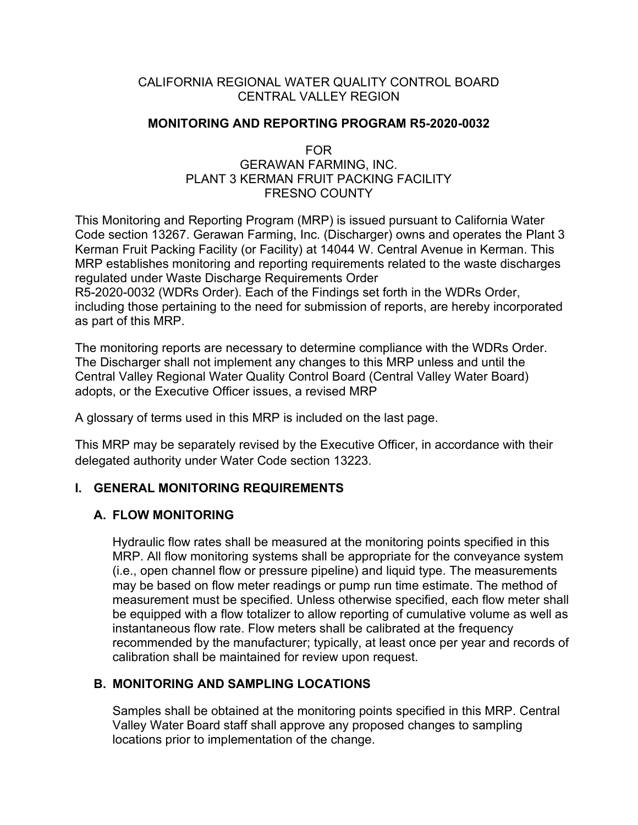## CALIFORNIA REGIONAL WATER QUALITY CONTROL BOARD CENTRAL VALLEY REGION

## **MONITORING AND REPORTING PROGRAM R5-2020-0032**

#### FOR

#### GERAWAN FARMING, INC. PLANT 3 KERMAN FRUIT PACKING FACILITY FRESNO COUNTY

This Monitoring and Reporting Program (MRP) is issued pursuant to California Water Code section 13267. Gerawan Farming, Inc. (Discharger) owns and operates the Plant 3 Kerman Fruit Packing Facility (or Facility) at 14044 W. Central Avenue in Kerman. This MRP establishes monitoring and reporting requirements related to the waste discharges regulated under Waste Discharge Requirements Order

R5-2020-0032 (WDRs Order). Each of the Findings set forth in the WDRs Order, including those pertaining to the need for submission of reports, are hereby incorporated as part of this MRP.

The monitoring reports are necessary to determine compliance with the WDRs Order. The Discharger shall not implement any changes to this MRP unless and until the Central Valley Regional Water Quality Control Board (Central Valley Water Board) adopts, or the Executive Officer issues, a revised MRP

A glossary of terms used in this MRP is included on the last page.

This MRP may be separately revised by the Executive Officer, in accordance with their delegated authority under Water Code section 13223.

# **I. GENERAL MONITORING REQUIREMENTS**

## **A. FLOW MONITORING**

Hydraulic flow rates shall be measured at the monitoring points specified in this MRP. All flow monitoring systems shall be appropriate for the conveyance system (i.e., open channel flow or pressure pipeline) and liquid type. The measurements may be based on flow meter readings or pump run time estimate. The method of measurement must be specified. Unless otherwise specified, each flow meter shall be equipped with a flow totalizer to allow reporting of cumulative volume as well as instantaneous flow rate. Flow meters shall be calibrated at the frequency recommended by the manufacturer; typically, at least once per year and records of calibration shall be maintained for review upon request.

# **B. MONITORING AND SAMPLING LOCATIONS**

Samples shall be obtained at the monitoring points specified in this MRP. Central Valley Water Board staff shall approve any proposed changes to sampling locations prior to implementation of the change.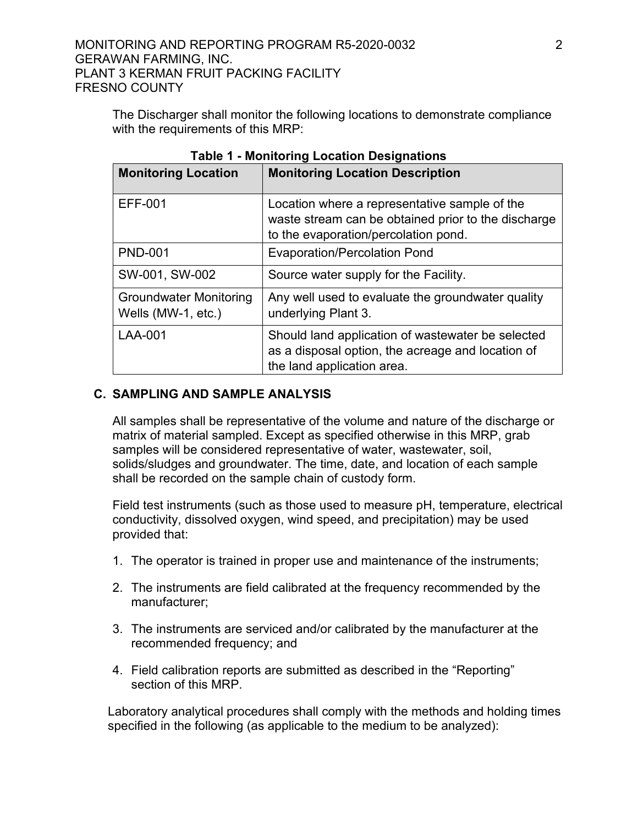The Discharger shall monitor the following locations to demonstrate compliance with the requirements of this MRP:

| <b>Monitoring Location</b>                          | <b>Monitoring Location Description</b>                                                                                                       |
|-----------------------------------------------------|----------------------------------------------------------------------------------------------------------------------------------------------|
| <b>EFF-001</b>                                      | Location where a representative sample of the<br>waste stream can be obtained prior to the discharge<br>to the evaporation/percolation pond. |
| <b>PND-001</b>                                      | <b>Evaporation/Percolation Pond</b>                                                                                                          |
| SW-001, SW-002                                      | Source water supply for the Facility.                                                                                                        |
| <b>Groundwater Monitoring</b><br>Wells (MW-1, etc.) | Any well used to evaluate the groundwater quality<br>underlying Plant 3.                                                                     |
| LAA-001                                             | Should land application of wastewater be selected<br>as a disposal option, the acreage and location of<br>the land application area.         |

**Table 1 - Monitoring Location Designations**

## **C. SAMPLING AND SAMPLE ANALYSIS**

All samples shall be representative of the volume and nature of the discharge or matrix of material sampled. Except as specified otherwise in this MRP, grab samples will be considered representative of water, wastewater, soil, solids/sludges and groundwater. The time, date, and location of each sample shall be recorded on the sample chain of custody form.

Field test instruments (such as those used to measure pH, temperature, electrical conductivity, dissolved oxygen, wind speed, and precipitation) may be used provided that:

- 1. The operator is trained in proper use and maintenance of the instruments;
- 2. The instruments are field calibrated at the frequency recommended by the manufacturer;
- 3. The instruments are serviced and/or calibrated by the manufacturer at the recommended frequency; and
- 4. Field calibration reports are submitted as described in the "Reporting" section of this MRP.

Laboratory analytical procedures shall comply with the methods and holding times specified in the following (as applicable to the medium to be analyzed):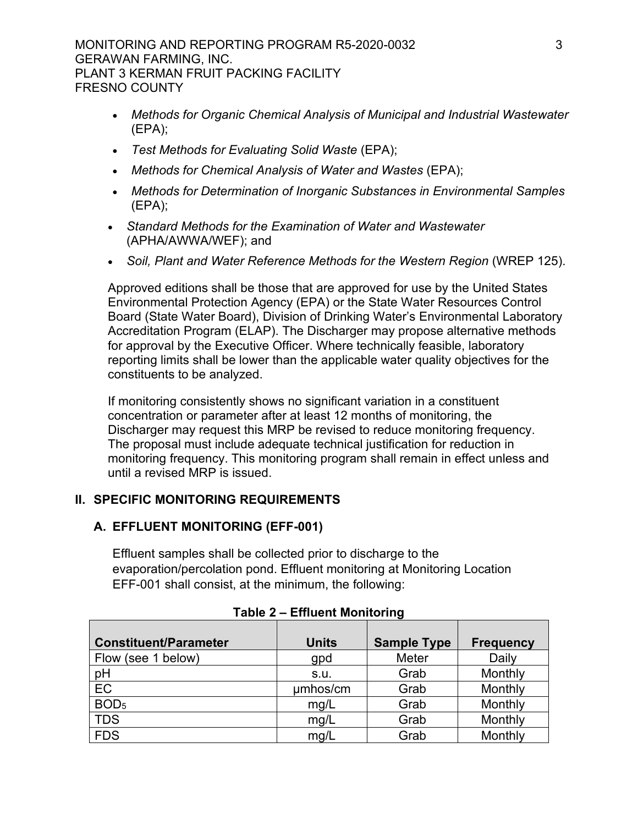MONITORING AND REPORTING PROGRAM R5-2020-0032 3 GERAWAN FARMING, INC. PLANT 3 KERMAN FRUIT PACKING FACILITY FRESNO COUNTY

- · *Methods for Organic Chemical Analysis of Municipal and Industrial Wastewater*  (EPA);
- · *Test Methods for Evaluating Solid Waste* (EPA);
- · *Methods for Chemical Analysis of Water and Wastes* (EPA);
- · *Methods for Determination of Inorganic Substances in Environmental Samples*  (EPA);
- · *Standard Methods for the Examination of Water and Wastewater*  (APHA/AWWA/WEF); and
- · *Soil, Plant and Water Reference Methods for the Western Region* (WREP 125).

Approved editions shall be those that are approved for use by the United States Environmental Protection Agency (EPA) or the State Water Resources Control Board (State Water Board), Division of Drinking Water's Environmental Laboratory Accreditation Program (ELAP). The Discharger may propose alternative methods for approval by the Executive Officer. Where technically feasible, laboratory reporting limits shall be lower than the applicable water quality objectives for the constituents to be analyzed.

If monitoring consistently shows no significant variation in a constituent concentration or parameter after at least 12 months of monitoring, the Discharger may request this MRP be revised to reduce monitoring frequency. The proposal must include adequate technical justification for reduction in monitoring frequency. This monitoring program shall remain in effect unless and until a revised MRP is issued.

## **II. SPECIFIC MONITORING REQUIREMENTS**

## **A. EFFLUENT MONITORING (EFF-001)**

Effluent samples shall be collected prior to discharge to the evaporation/percolation pond. Effluent monitoring at Monitoring Location EFF-001 shall consist, at the minimum, the following:

| <b>Constituent/Parameter</b> | <b>Units</b> | <b>Sample Type</b> | <b>Frequency</b> |
|------------------------------|--------------|--------------------|------------------|
| Flow (see 1 below)           | gpd          | Meter              | Daily            |
| pH                           | s.u.         | Grab               | Monthly          |
| EC                           | umhos/cm     | Grab               | Monthly          |
| BOD <sub>5</sub>             | mq/L         | Grab               | Monthly          |
| <b>TDS</b>                   | mg/L         | Grab               | Monthly          |
| <b>FDS</b>                   | mg/L         | Grab               | Monthly          |

## **Table 2 – Effluent Monitoring**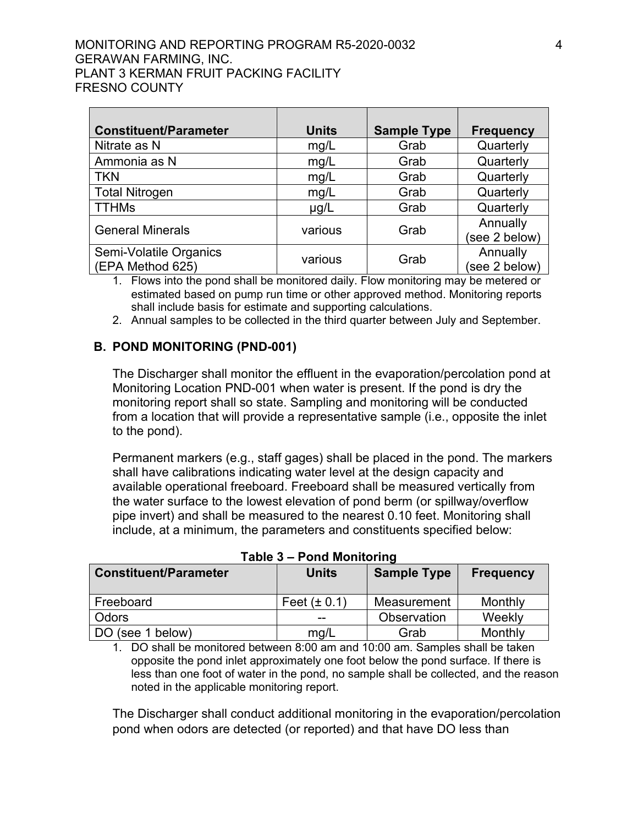#### MONITORING AND REPORTING PROGRAM R5-2020-0032 4 GERAWAN FARMING, INC. PLANT 3 KERMAN FRUIT PACKING FACILITY FRESNO COUNTY

| <b>Constituent/Parameter</b>               | <b>Units</b> | <b>Sample Type</b> | <b>Frequency</b>          |
|--------------------------------------------|--------------|--------------------|---------------------------|
| Nitrate as N                               | mg/L         | Grab               | Quarterly                 |
| Ammonia as N                               | mg/L         | Grab               | Quarterly                 |
| <b>TKN</b>                                 | mg/L         | Grab               | Quarterly                 |
| <b>Total Nitrogen</b>                      | mg/L         | Grab               | Quarterly                 |
| <b>TTHMs</b>                               | $\mu$ g/L    | Grab               | Quarterly                 |
| <b>General Minerals</b>                    | various      | Grab               | Annually<br>(see 2 below) |
| Semi-Volatile Organics<br>(EPA Method 625) | various      | Grab               | Annually<br>(see 2 below) |

1. Flows into the pond shall be monitored daily. Flow monitoring may be metered or estimated based on pump run time or other approved method. Monitoring reports shall include basis for estimate and supporting calculations.

2. Annual samples to be collected in the third quarter between July and September.

## **B. POND MONITORING (PND-001)**

The Discharger shall monitor the effluent in the evaporation/percolation pond at Monitoring Location PND-001 when water is present. If the pond is dry the monitoring report shall so state. Sampling and monitoring will be conducted from a location that will provide a representative sample (i.e., opposite the inlet to the pond).

Permanent markers (e.g., staff gages) shall be placed in the pond. The markers shall have calibrations indicating water level at the design capacity and available operational freeboard. Freeboard shall be measured vertically from the water surface to the lowest elevation of pond berm (or spillway/overflow pipe invert) and shall be measured to the nearest 0.10 feet. Monitoring shall include, at a minimum, the parameters and constituents specified below:

| I UMIV V                     | ויוועטוווטווויטוווי |                    |                  |
|------------------------------|---------------------|--------------------|------------------|
| <b>Constituent/Parameter</b> | <b>Units</b>        | <b>Sample Type</b> | <b>Frequency</b> |
| Freeboard                    | Feet $(\pm 0.1)$    | Measurement        | Monthly          |
| <b>Odors</b>                 | --                  | Observation        | Weekly           |
| DO (see 1 below)             | mg/L                | Grab               | Monthly          |

**Table 3 – Pond Monitoring**

1. DO shall be monitored between 8:00 am and 10:00 am. Samples shall be taken opposite the pond inlet approximately one foot below the pond surface. If there is less than one foot of water in the pond, no sample shall be collected, and the reason noted in the applicable monitoring report.

The Discharger shall conduct additional monitoring in the evaporation/percolation pond when odors are detected (or reported) and that have DO less than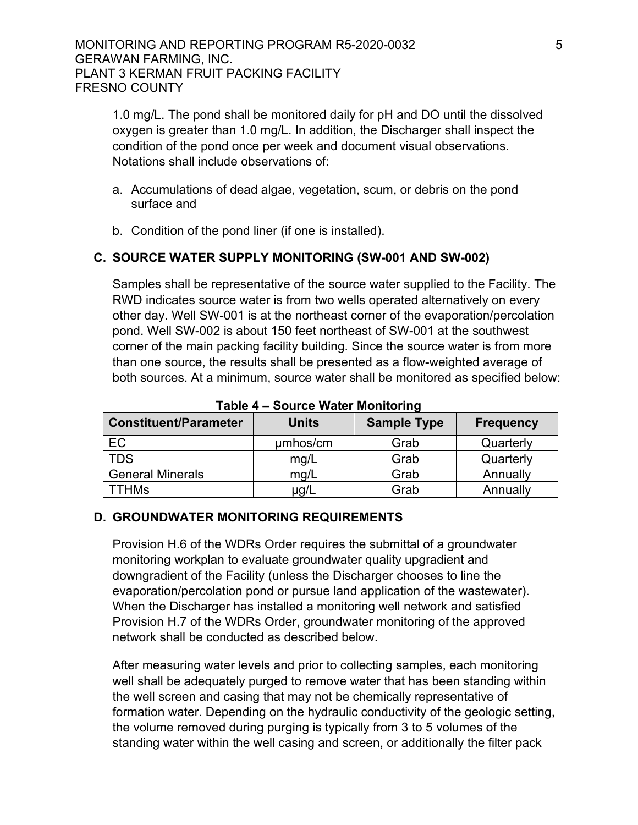1.0 mg/L. The pond shall be monitored daily for pH and DO until the dissolved oxygen is greater than 1.0 mg/L. In addition, the Discharger shall inspect the condition of the pond once per week and document visual observations. Notations shall include observations of:

- a. Accumulations of dead algae, vegetation, scum, or debris on the pond surface and
- b. Condition of the pond liner (if one is installed).

## **C. SOURCE WATER SUPPLY MONITORING (SW-001 AND SW-002)**

Samples shall be representative of the source water supplied to the Facility. The RWD indicates source water is from two wells operated alternatively on every other day. Well SW-001 is at the northeast corner of the evaporation/percolation pond. Well SW-002 is about 150 feet northeast of SW-001 at the southwest corner of the main packing facility building. Since the source water is from more than one source, the results shall be presented as a flow-weighted average of both sources. At a minimum, source water shall be monitored as specified below:

| I UNIV T<br><b>POULD's FRUIDE INDITIONALLY</b> |              |                    |                  |
|------------------------------------------------|--------------|--------------------|------------------|
| <b>Constituent/Parameter</b>                   | <b>Units</b> | <b>Sample Type</b> | <b>Frequency</b> |
| EC                                             | µmbos/cm     | Grab               | Quarterly        |
| <b>TDS</b>                                     | mg/L         | Grab               | Quarterly        |
| <b>General Minerals</b>                        | mq/L         | Grab               | Annually         |
| <b>TTHMs</b>                                   | µg/L         | Grab               | Annually         |

**Table 4 – Source Water Monitoring**

## **D. GROUNDWATER MONITORING REQUIREMENTS**

Provision H.6 of the WDRs Order requires the submittal of a groundwater monitoring workplan to evaluate groundwater quality upgradient and downgradient of the Facility (unless the Discharger chooses to line the evaporation/percolation pond or pursue land application of the wastewater). When the Discharger has installed a monitoring well network and satisfied Provision H.7 of the WDRs Order, groundwater monitoring of the approved network shall be conducted as described below.

After measuring water levels and prior to collecting samples, each monitoring well shall be adequately purged to remove water that has been standing within the well screen and casing that may not be chemically representative of formation water. Depending on the hydraulic conductivity of the geologic setting, the volume removed during purging is typically from 3 to 5 volumes of the standing water within the well casing and screen, or additionally the filter pack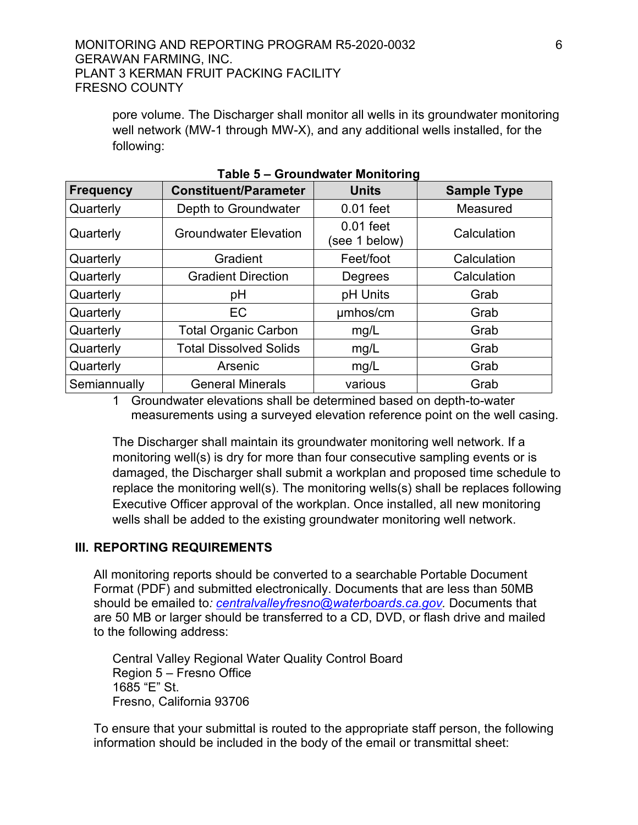#### MONITORING AND REPORTING PROGRAM R5-2020-0032 6 GERAWAN FARMING, INC. PLANT 3 KERMAN FRUIT PACKING FACILITY FRESNO COUNTY

pore volume. The Discharger shall monitor all wells in its groundwater monitoring well network (MW-1 through MW-X), and any additional wells installed, for the following:

| <b>Frequency</b> | <b>Constituent/Parameter</b>  | <b>Units</b>                 | <b>Sample Type</b> |
|------------------|-------------------------------|------------------------------|--------------------|
| Quarterly        | Depth to Groundwater          | $0.01$ feet                  | Measured           |
| Quarterly        | <b>Groundwater Elevation</b>  | $0.01$ feet<br>(see 1 below) | Calculation        |
| Quarterly        | Gradient                      | Feet/foot                    | Calculation        |
| Quarterly        | <b>Gradient Direction</b>     | Degrees                      | Calculation        |
| Quarterly        | pH                            | pH Units                     | Grab               |
| Quarterly        | EC                            | umhos/cm                     | Grab               |
| Quarterly        | <b>Total Organic Carbon</b>   | mg/L                         | Grab               |
| Quarterly        | <b>Total Dissolved Solids</b> | mg/L                         | Grab               |
| Quarterly        | Arsenic                       | mg/L                         | Grab               |
| Semiannually     | <b>General Minerals</b>       | various                      | Grab               |

**Table 5 – Groundwater Monitoring**

1 Groundwater elevations shall be determined based on depth-to-water measurements using a surveyed elevation reference point on the well casing.

The Discharger shall maintain its groundwater monitoring well network. If a monitoring well(s) is dry for more than four consecutive sampling events or is damaged, the Discharger shall submit a workplan and proposed time schedule to replace the monitoring well(s). The monitoring wells(s) shall be replaces following Executive Officer approval of the workplan. Once installed, all new monitoring wells shall be added to the existing groundwater monitoring well network.

## **III. REPORTING REQUIREMENTS**

All monitoring reports should be converted to a searchable Portable Document Format (PDF) and submitted electronically. Documents that are less than 50MB should be emailed to*: [centralvalleyfresno@waterboards.ca.gov.](mailto:centralvalleyfresno@waterboards.ca.gov)* Documents that are 50 MB or larger should be transferred to a CD, DVD, or flash drive and mailed to the following address:

Central Valley Regional Water Quality Control Board Region 5 – Fresno Office 1685 "E" St. Fresno, California 93706

To ensure that your submittal is routed to the appropriate staff person, the following information should be included in the body of the email or transmittal sheet: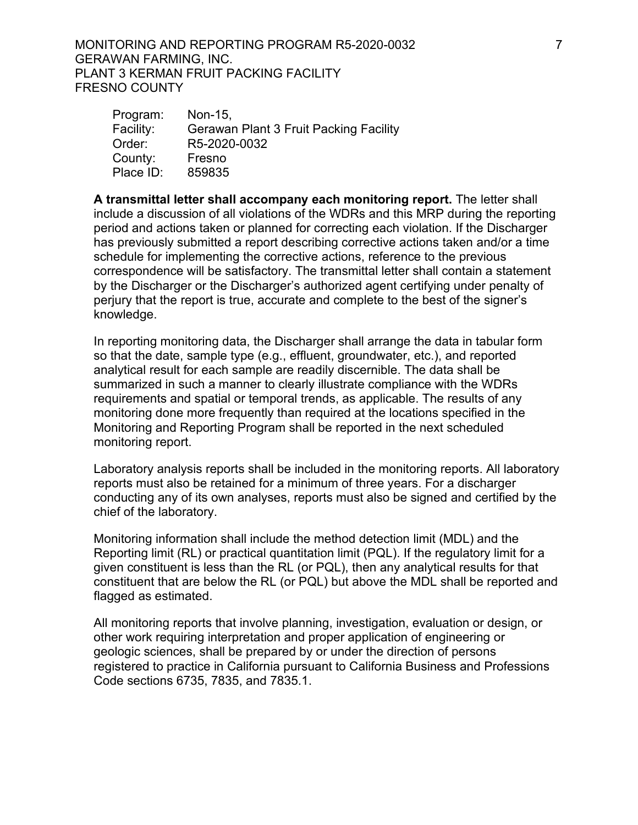MONITORING AND REPORTING PROGRAM R5-2020-0032 7 GERAWAN FARMING, INC. PLANT 3 KERMAN FRUIT PACKING FACILITY FRESNO COUNTY

| Program:  | Non-15,                                       |
|-----------|-----------------------------------------------|
| Facility: | <b>Gerawan Plant 3 Fruit Packing Facility</b> |
| Order:    | R5-2020-0032                                  |
| County:   | Fresno                                        |
| Place ID: | 859835                                        |
|           |                                               |

**A transmittal letter shall accompany each monitoring report.** The letter shall include a discussion of all violations of the WDRs and this MRP during the reporting period and actions taken or planned for correcting each violation. If the Discharger has previously submitted a report describing corrective actions taken and/or a time schedule for implementing the corrective actions, reference to the previous correspondence will be satisfactory. The transmittal letter shall contain a statement by the Discharger or the Discharger's authorized agent certifying under penalty of perjury that the report is true, accurate and complete to the best of the signer's knowledge.

In reporting monitoring data, the Discharger shall arrange the data in tabular form so that the date, sample type (e.g., effluent, groundwater, etc.), and reported analytical result for each sample are readily discernible. The data shall be summarized in such a manner to clearly illustrate compliance with the WDRs requirements and spatial or temporal trends, as applicable. The results of any monitoring done more frequently than required at the locations specified in the Monitoring and Reporting Program shall be reported in the next scheduled monitoring report.

Laboratory analysis reports shall be included in the monitoring reports. All laboratory reports must also be retained for a minimum of three years. For a discharger conducting any of its own analyses, reports must also be signed and certified by the chief of the laboratory.

Monitoring information shall include the method detection limit (MDL) and the Reporting limit (RL) or practical quantitation limit (PQL). If the regulatory limit for a given constituent is less than the RL (or PQL), then any analytical results for that constituent that are below the RL (or PQL) but above the MDL shall be reported and flagged as estimated.

All monitoring reports that involve planning, investigation, evaluation or design, or other work requiring interpretation and proper application of engineering or geologic sciences, shall be prepared by or under the direction of persons registered to practice in California pursuant to California Business and Professions Code sections 6735, 7835, and 7835.1.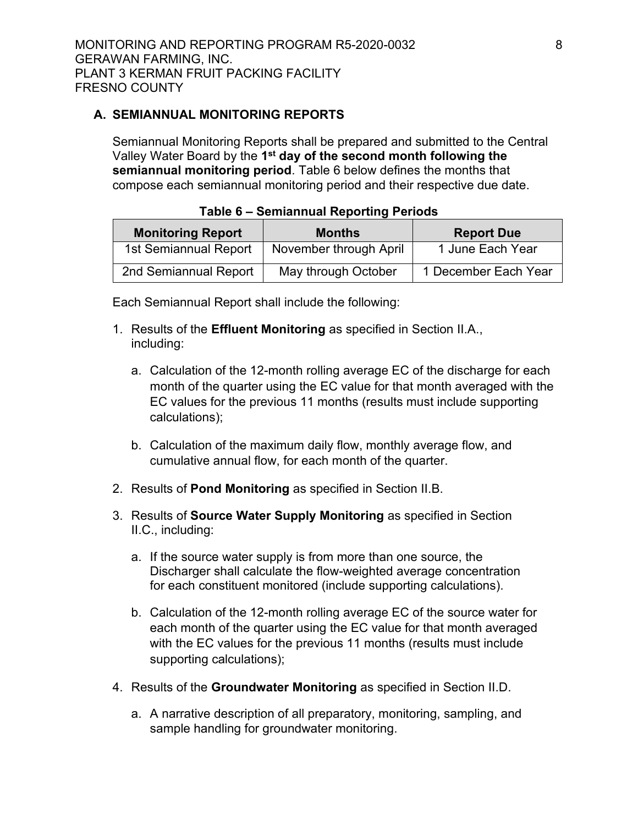# **A. SEMIANNUAL MONITORING REPORTS**

Semiannual Monitoring Reports shall be prepared and submitted to the Central Valley Water Board by the **1 st day of the second month following the semiannual monitoring period**. Table 6 below defines the months that compose each semiannual monitoring period and their respective due date.

| <b>Monitoring Report</b> | <b>Months</b>          | <b>Report Due</b>    |
|--------------------------|------------------------|----------------------|
| 1st Semiannual Report    | November through April | 1 June Each Year     |
| 2nd Semiannual Report    | May through October    | 1 December Each Year |

#### **Table 6 – Semiannual Reporting Periods**

Each Semiannual Report shall include the following:

- 1. Results of the **Effluent Monitoring** as specified in Section II.A., including:
	- a. Calculation of the 12-month rolling average EC of the discharge for each month of the quarter using the EC value for that month averaged with the EC values for the previous 11 months (results must include supporting calculations);
	- b. Calculation of the maximum daily flow, monthly average flow, and cumulative annual flow, for each month of the quarter.
- 2. Results of **Pond Monitoring** as specified in Section II.B.
- 3. Results of **Source Water Supply Monitoring** as specified in Section II.C., including:
	- a. If the source water supply is from more than one source, the Discharger shall calculate the flow-weighted average concentration for each constituent monitored (include supporting calculations).
	- b. Calculation of the 12-month rolling average EC of the source water for each month of the quarter using the EC value for that month averaged with the EC values for the previous 11 months (results must include supporting calculations);
- 4. Results of the **Groundwater Monitoring** as specified in Section II.D.
	- a. A narrative description of all preparatory, monitoring, sampling, and sample handling for groundwater monitoring.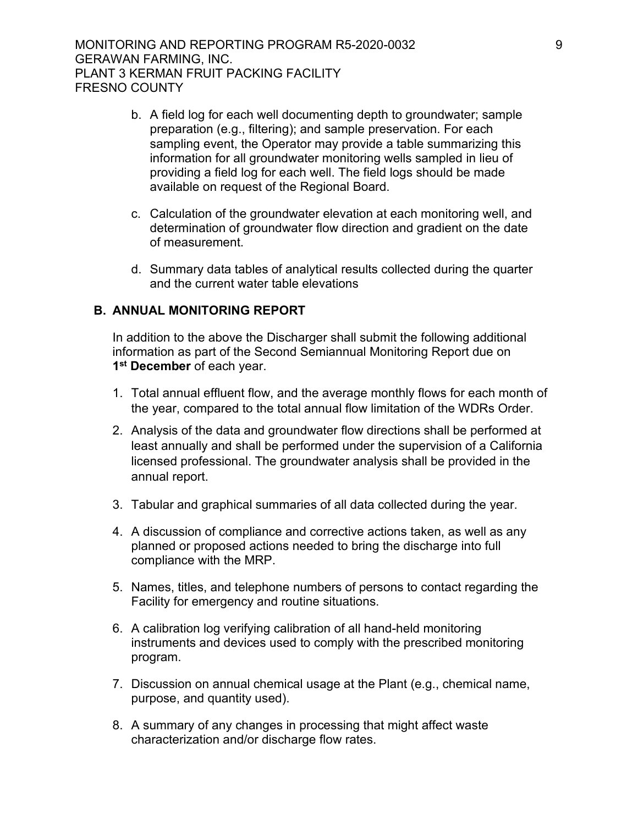- b. A field log for each well documenting depth to groundwater; sample preparation (e.g., filtering); and sample preservation. For each sampling event, the Operator may provide a table summarizing this information for all groundwater monitoring wells sampled in lieu of providing a field log for each well. The field logs should be made available on request of the Regional Board.
- c. Calculation of the groundwater elevation at each monitoring well, and determination of groundwater flow direction and gradient on the date of measurement.
- d. Summary data tables of analytical results collected during the quarter and the current water table elevations

#### **B. ANNUAL MONITORING REPORT**

In addition to the above the Discharger shall submit the following additional information as part of the Second Semiannual Monitoring Report due on **1 st December** of each year.

- 1. Total annual effluent flow, and the average monthly flows for each month of the year, compared to the total annual flow limitation of the WDRs Order.
- 2. Analysis of the data and groundwater flow directions shall be performed at least annually and shall be performed under the supervision of a California licensed professional. The groundwater analysis shall be provided in the annual report.
- 3. Tabular and graphical summaries of all data collected during the year.
- 4. A discussion of compliance and corrective actions taken, as well as any planned or proposed actions needed to bring the discharge into full compliance with the MRP.
- 5. Names, titles, and telephone numbers of persons to contact regarding the Facility for emergency and routine situations.
- 6. A calibration log verifying calibration of all hand-held monitoring instruments and devices used to comply with the prescribed monitoring program.
- 7. Discussion on annual chemical usage at the Plant (e.g., chemical name, purpose, and quantity used).
- 8. A summary of any changes in processing that might affect waste characterization and/or discharge flow rates.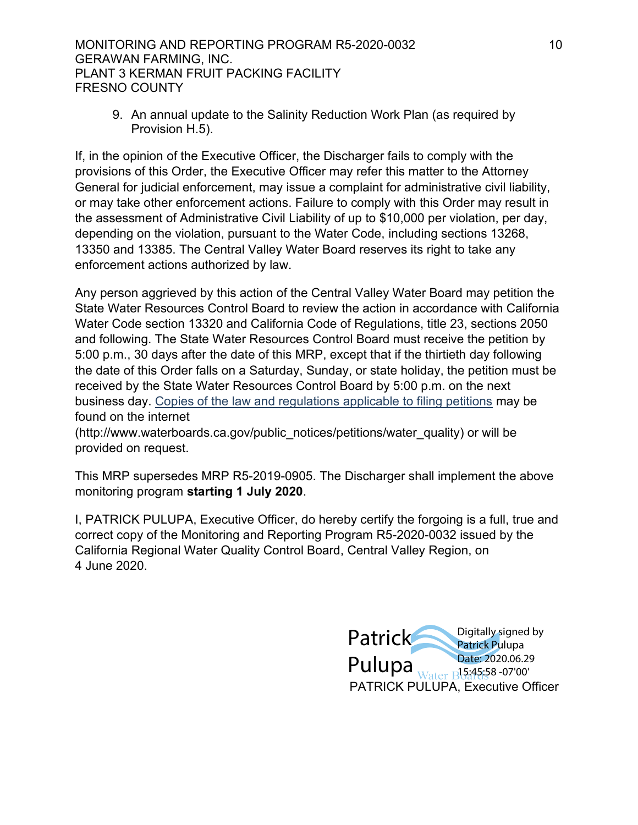#### MONITORING AND REPORTING PROGRAM R5-2020-0032 10 GERAWAN FARMING, INC. PLANT 3 KERMAN FRUIT PACKING FACILITY FRESNO COUNTY

9. An annual update to the Salinity Reduction Work Plan (as required by Provision H.5).

If, in the opinion of the Executive Officer, the Discharger fails to comply with the provisions of this Order, the Executive Officer may refer this matter to the Attorney General for judicial enforcement, may issue a complaint for administrative civil liability, or may take other enforcement actions. Failure to comply with this Order may result in the assessment of Administrative Civil Liability of up to \$10,000 per violation, per day, depending on the violation, pursuant to the Water Code, including sections 13268, 13350 and 13385. The Central Valley Water Board reserves its right to take any enforcement actions authorized by law.

Any person aggrieved by this action of the Central Valley Water Board may petition the State Water Resources Control Board to review the action in accordance with California Water Code section 13320 and California Code of Regulations, title 23, sections 2050 and following. The State Water Resources Control Board must receive the petition by 5:00 p.m., 30 days after the date of this MRP, except that if the thirtieth day following the date of this Order falls on a Saturday, Sunday, or state holiday, the petition must be received by the State Water Resources Control Board by 5:00 p.m. on the next business day. [Copies of the law and regulations applicable to filing petitions](http://www.waterboards.ca.gov/public_notices/petitions/water_quality) may be found on the internet

(http://www.waterboards.ca.gov/public\_notices/petitions/water\_quality) or will be provided on request.

This MRP supersedes MRP R5-2019-0905. The Discharger shall implement the above monitoring program **starting 1 July 2020**.

I, PATRICK PULUPA, Executive Officer, do hereby certify the forgoing is a full, true and correct copy of the Monitoring and Reporting Program R5-2020-0032 issued by the California Regional Water Quality Control Board, Central Valley Region, on 4 June 2020.

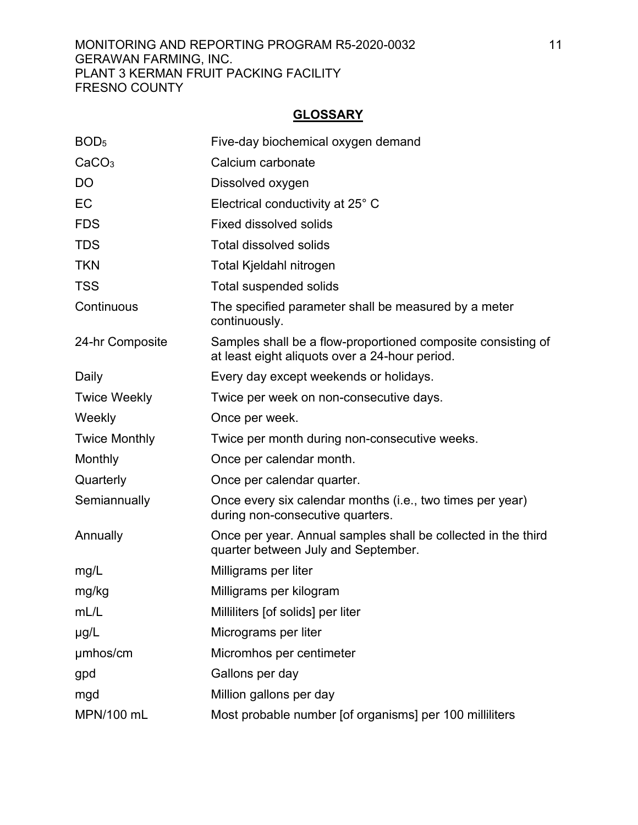## MONITORING AND REPORTING PROGRAM R5-2020-0032 11 GERAWAN FARMING, INC. PLANT 3 KERMAN FRUIT PACKING FACILITY FRESNO COUNTY

# **GLOSSARY**

| BOD <sub>5</sub>     | Five-day biochemical oxygen demand                                                                             |
|----------------------|----------------------------------------------------------------------------------------------------------------|
| CaCO <sub>3</sub>    | Calcium carbonate                                                                                              |
| DO                   | Dissolved oxygen                                                                                               |
| EC                   | Electrical conductivity at 25° C                                                                               |
| <b>FDS</b>           | <b>Fixed dissolved solids</b>                                                                                  |
| <b>TDS</b>           | <b>Total dissolved solids</b>                                                                                  |
| <b>TKN</b>           | Total Kjeldahl nitrogen                                                                                        |
| <b>TSS</b>           | <b>Total suspended solids</b>                                                                                  |
| Continuous           | The specified parameter shall be measured by a meter<br>continuously.                                          |
| 24-hr Composite      | Samples shall be a flow-proportioned composite consisting of<br>at least eight aliquots over a 24-hour period. |
| Daily                | Every day except weekends or holidays.                                                                         |
| <b>Twice Weekly</b>  | Twice per week on non-consecutive days.                                                                        |
| Weekly               | Once per week.                                                                                                 |
| <b>Twice Monthly</b> | Twice per month during non-consecutive weeks.                                                                  |
| Monthly              | Once per calendar month.                                                                                       |
| Quarterly            | Once per calendar quarter.                                                                                     |
| Semiannually         | Once every six calendar months (i.e., two times per year)<br>during non-consecutive quarters.                  |
| Annually             | Once per year. Annual samples shall be collected in the third<br>quarter between July and September.           |
| mg/L                 | Milligrams per liter                                                                                           |
| mg/kg                | Milligrams per kilogram                                                                                        |
| mL/L                 | Milliliters [of solids] per liter                                                                              |
| $\mu$ g/L            | Micrograms per liter                                                                                           |
| umhos/cm             | Micromhos per centimeter                                                                                       |
| gpd                  | Gallons per day                                                                                                |
| mgd                  | Million gallons per day                                                                                        |
| MPN/100 mL           | Most probable number [of organisms] per 100 milliliters                                                        |